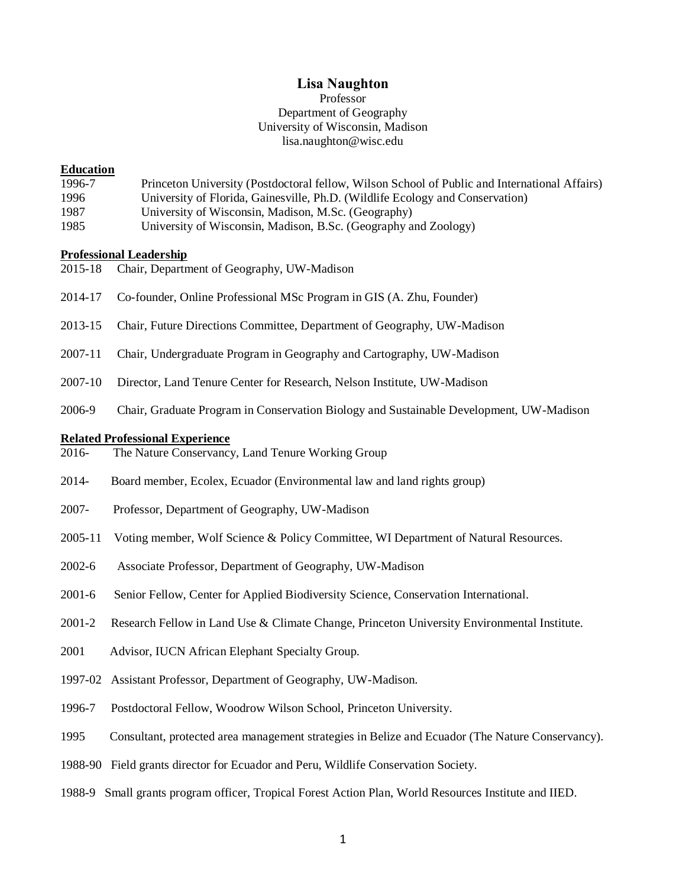### **Lisa Naughton**

## Professor Department of Geography University of Wisconsin, Madison lisa.naughton@wisc.edu

#### **Education**

- 1996-7 Princeton University (Postdoctoral fellow, Wilson School of Public and International Affairs) 1996 University of Florida, Gainesville, Ph.D. (Wildlife Ecology and Conservation) 1987 University of Wisconsin, Madison, M.Sc. (Geography)
- 1985 University of Wisconsin, Madison, B.Sc. (Geography and Zoology)

#### **Professional Leadership**

- 2015-18 Chair, Department of Geography, UW-Madison
- 2014-17 Co-founder, Online Professional MSc Program in GIS (A. Zhu, Founder)
- 2013-15 Chair, Future Directions Committee, Department of Geography, UW-Madison
- 2007-11 Chair, Undergraduate Program in Geography and Cartography, UW-Madison
- 2007-10 Director, Land Tenure Center for Research, Nelson Institute, UW-Madison
- 2006-9 Chair, Graduate Program in Conservation Biology and Sustainable Development, UW-Madison

#### **Related Professional Experience**

- 2016- The Nature Conservancy, Land Tenure Working Group
- 2014- Board member, Ecolex, Ecuador (Environmental law and land rights group)
- 2007- Professor, Department of Geography, UW-Madison
- 2005-11 Voting member, Wolf Science & Policy Committee, WI Department of Natural Resources.
- 2002-6 Associate Professor, Department of Geography, UW-Madison
- 2001-6 Senior Fellow, Center for Applied Biodiversity Science, Conservation International.
- 2001-2 Research Fellow in Land Use & Climate Change, Princeton University Environmental Institute.
- 2001 Advisor, IUCN African Elephant Specialty Group.
- 1997-02 Assistant Professor, Department of Geography, UW-Madison.
- 1996-7 Postdoctoral Fellow, Woodrow Wilson School, Princeton University.
- 1995 Consultant, protected area management strategies in Belize and Ecuador (The Nature Conservancy).
- 1988-90 Field grants director for Ecuador and Peru, Wildlife Conservation Society.
- 1988-9 Small grants program officer, Tropical Forest Action Plan, World Resources Institute and IIED.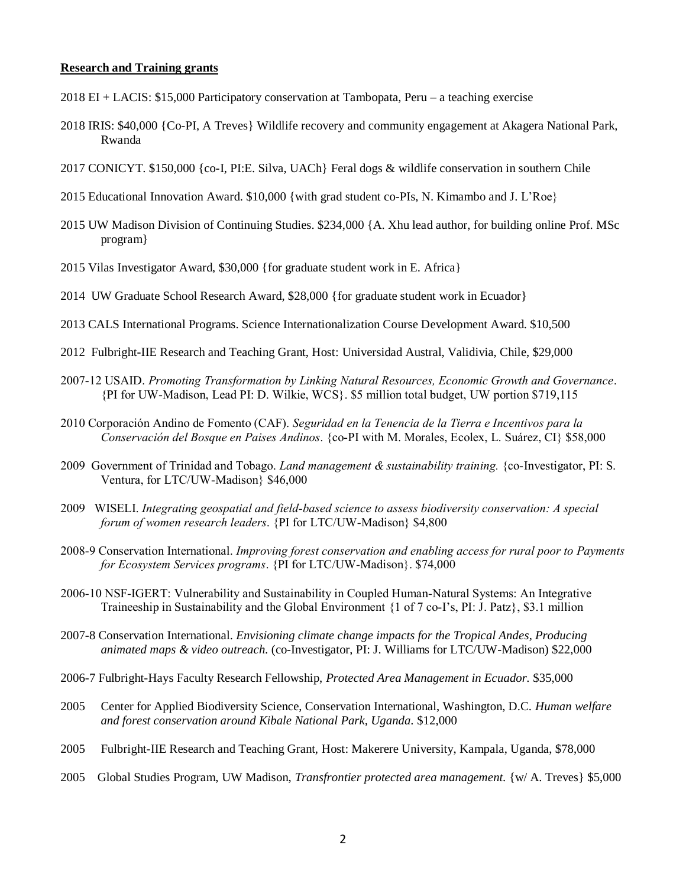### **Research and Training grants**

- 2018 EI + LACIS: \$15,000 Participatory conservation at Tambopata, Peru a teaching exercise
- 2018 IRIS: \$40,000 {Co-PI, A Treves} Wildlife recovery and community engagement at Akagera National Park, Rwanda
- 2017 CONICYT. \$150,000 {co-I, PI:E. Silva, UACh} Feral dogs & wildlife conservation in southern Chile
- 2015 Educational Innovation Award. \$10,000 {with grad student co-PIs, N. Kimambo and J. L'Roe}
- 2015 UW Madison Division of Continuing Studies. \$234,000 {A. Xhu lead author, for building online Prof. MSc program}
- 2015 Vilas Investigator Award, \$30,000 {for graduate student work in E. Africa}
- 2014 UW Graduate School Research Award, \$28,000 {for graduate student work in Ecuador}
- 2013 CALS International Programs. Science Internationalization Course Development Award. \$10,500
- 2012 Fulbright-IIE Research and Teaching Grant, Host: Universidad Austral, Validivia, Chile, \$29,000
- 2007-12 USAID. *Promoting Transformation by Linking Natural Resources, Economic Growth and Governance*. {PI for UW-Madison, Lead PI: D. Wilkie, WCS}. \$5 million total budget, UW portion \$719,115
- 2010 Corporación Andino de Fomento (CAF). *Seguridad en la Tenencia de la Tierra e Incentivos para la Conservación del Bosque en Paises Andinos*. {co-PI with M. Morales, Ecolex, L. Suárez, CI} \$58,000
- 2009 Government of Trinidad and Tobago. *Land management & sustainability training.* {co-Investigator, PI: S. Ventura, for LTC/UW-Madison} \$46,000
- 2009 WISELI. *Integrating geospatial and field-based science to assess biodiversity conservation: A special forum of women research leaders*. {PI for LTC/UW-Madison} \$4,800
- 2008-9 Conservation International. *Improving forest conservation and enabling access for rural poor to Payments for Ecosystem Services programs*. {PI for LTC/UW-Madison}. \$74,000
- 2006-10 NSF-IGERT: Vulnerability and Sustainability in Coupled Human-Natural Systems: An Integrative Traineeship in Sustainability and the Global Environment {1 of 7 co-I's, PI: J. Patz}, \$3.1 million
- 2007-8 Conservation International. *Envisioning climate change impacts for the Tropical Andes, Producing animated maps & video outreach.* (co-Investigator, PI: J. Williams for LTC/UW-Madison) \$22,000
- 2006-7 Fulbright-Hays Faculty Research Fellowship, *Protected Area Management in Ecuador.* \$35,000
- 2005 Center for Applied Biodiversity Science, Conservation International, Washington, D.C. *Human welfare and forest conservation around Kibale National Park, Uganda.* \$12,000
- 2005 Fulbright-IIE Research and Teaching Grant, Host: Makerere University, Kampala, Uganda, \$78,000
- 2005 Global Studies Program, UW Madison, *Transfrontier protected area management.* {w/ A. Treves} \$5,000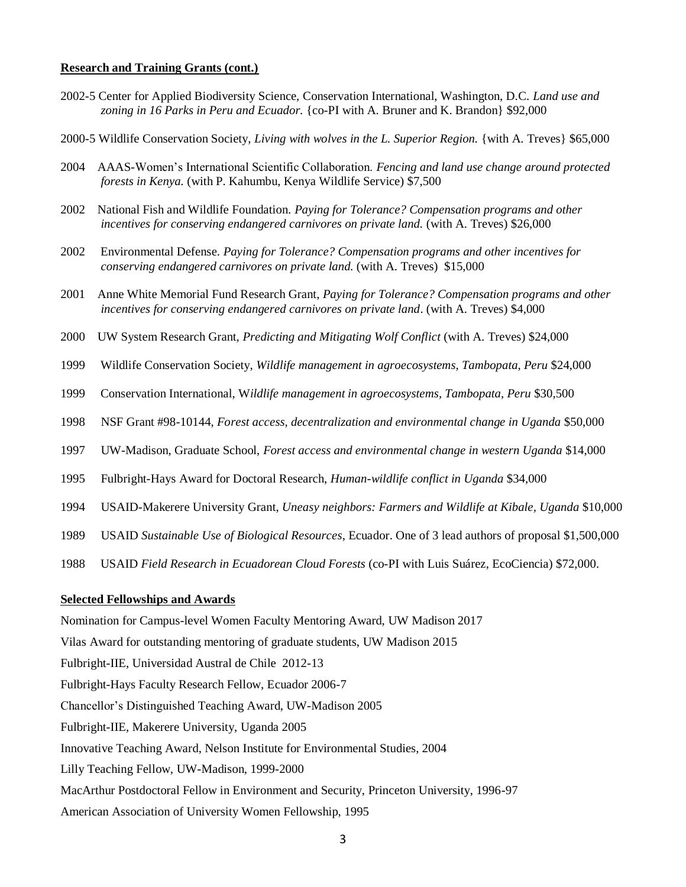#### **Research and Training Grants (cont.)**

- 2002-5 Center for Applied Biodiversity Science, Conservation International, Washington, D.C. *Land use and zoning in 16 Parks in Peru and Ecuador.* {co-PI with A. Bruner and K. Brandon} \$92,000
- 2000-5 Wildlife Conservation Society, *Living with wolves in the L. Superior Region.* {with A. Treves} \$65,000
- 2004 AAAS-Women's International Scientific Collaboration. *Fencing and land use change around protected forests in Kenya.* (with P. Kahumbu, Kenya Wildlife Service) \$7,500
- 2002 National Fish and Wildlife Foundation. *Paying for Tolerance? Compensation programs and other incentives for conserving endangered carnivores on private land.* (with A. Treves) \$26,000
- 2002 Environmental Defense. *Paying for Tolerance? Compensation programs and other incentives for conserving endangered carnivores on private land.* (with A. Treves) \$15,000
- 2001 Anne White Memorial Fund Research Grant, *Paying for Tolerance? Compensation programs and other incentives for conserving endangered carnivores on private land*. (with A. Treves) \$4,000
- 2000 UW System Research Grant, *Predicting and Mitigating Wolf Conflict* (with A. Treves) \$24,000
- 1999 Wildlife Conservation Society, *Wildlife management in agroecosystems, Tambopata, Peru* \$24,000
- 1999 Conservation International, W*ildlife management in agroecosystems, Tambopata, Peru* \$30,500
- 1998 NSF Grant #98-10144, *Forest access, decentralization and environmental change in Uganda* \$50,000
- 1997 UW-Madison, Graduate School, *Forest access and environmental change in western Uganda* \$14,000
- 1995 Fulbright-Hays Award for Doctoral Research, *Human-wildlife conflict in Uganda* \$34,000
- 1994 USAID-Makerere University Grant, *Uneasy neighbors: Farmers and Wildlife at Kibale, Uganda* \$10,000
- 1989 USAID *Sustainable Use of Biological Resources*, Ecuador. One of 3 lead authors of proposal \$1,500,000
- 1988 USAID *Field Research in Ecuadorean Cloud Forests* (co-PI with Luis Suárez, EcoCiencia) \$72,000.

#### **Selected Fellowships and Awards**

Nomination for Campus-level Women Faculty Mentoring Award, UW Madison 2017 Vilas Award for outstanding mentoring of graduate students, UW Madison 2015 Fulbright-IIE, Universidad Austral de Chile 2012-13 Fulbright-Hays Faculty Research Fellow, Ecuador 2006-7 Chancellor's Distinguished Teaching Award, UW-Madison 2005 Fulbright-IIE, Makerere University, Uganda 2005 Innovative Teaching Award, Nelson Institute for Environmental Studies, 2004 Lilly Teaching Fellow, UW-Madison, 1999-2000 MacArthur Postdoctoral Fellow in Environment and Security, Princeton University, 1996-97 American Association of University Women Fellowship, 1995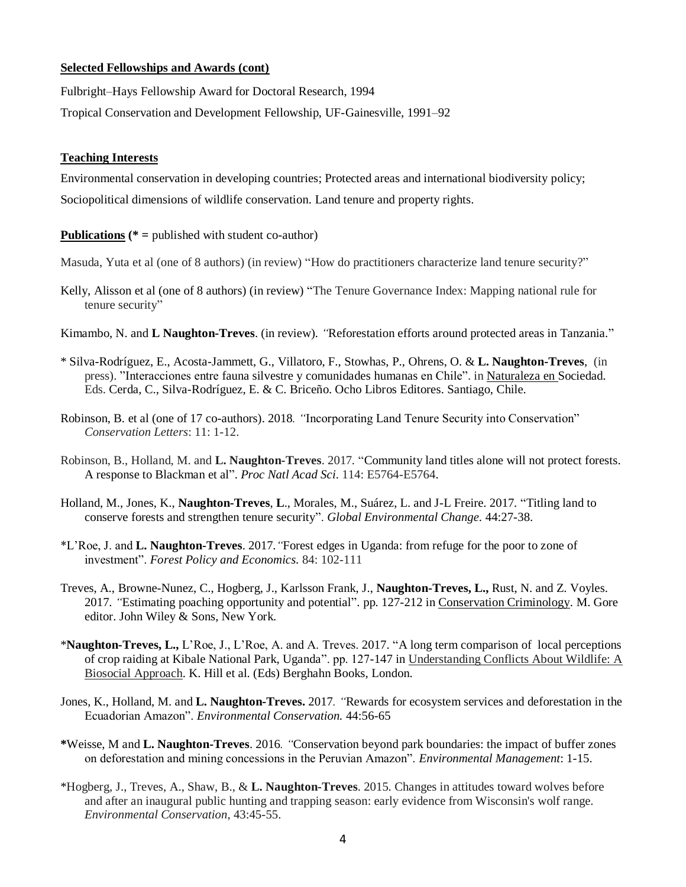## **Selected Fellowships and Awards (cont)**

Fulbright–Hays Fellowship Award for Doctoral Research, 1994

Tropical Conservation and Development Fellowship, UF-Gainesville, 1991–92

### **Teaching Interests**

Environmental conservation in developing countries; Protected areas and international biodiversity policy; Sociopolitical dimensions of wildlife conservation. Land tenure and property rights.

#### **Publications (\* =** published with student co-author)

- Masuda, Yuta et al (one of 8 authors) (in review) "How do practitioners characterize land tenure security?"
- Kelly, Alisson et al (one of 8 authors) (in review) "The Tenure Governance Index: Mapping national rule for tenure security"
- Kimambo, N. and **L Naughton-Treves**. (in review)*. "*Reforestation efforts around protected areas in Tanzania."
- \* Silva-Rodríguez, E., Acosta-Jammett, G., Villatoro, F., Stowhas, P., Ohrens, O. & **L. Naughton-Treves**, (in press). "Interacciones entre fauna silvestre y comunidades humanas en Chile". in Naturaleza en Sociedad. Eds. Cerda, C., Silva-Rodríguez, E. & C. Briceño. Ocho Libros Editores. Santiago, Chile.
- Robinson, B. et al (one of 17 co-authors). 2018*. "*Incorporating Land Tenure Security into Conservation" *Conservation Letters*: 11: 1-12.
- Robinson, B., Holland, M. and **L. Naughton-Treves**. 2017*.* "Community land titles alone will not protect forests. A response to Blackman et al". *Proc Natl Acad Sci*. 114: E5764-E5764.
- Holland, M., Jones, K., **Naughton-Treves**, **L**., Morales, M., Suárez, L. and J-L Freire. 2017*.* "Titling land to conserve forests and strengthen tenure security". *Global Environmental Change.* 44:27-38.
- \*L'Roe, J. and **L. Naughton-Treves**. 2017*."*Forest edges in Uganda: from refuge for the poor to zone of investment". *Forest Policy and Economics.* 84: 102-111
- Treves, A., Browne-Nunez, C., Hogberg, J., Karlsson Frank, J., **Naughton-Treves, L.,** Rust, N. and Z. Voyles. 2017*. "*Estimating poaching opportunity and potential". pp. 127-212 in Conservation Criminology. M. Gore editor. John Wiley & Sons, New York.
- \***Naughton-Treves, L.,** L'Roe, J., L'Roe, A. and A. Treves. 2017. "A long term comparison of local perceptions of crop raiding at Kibale National Park, Uganda". pp. 127-147 in Understanding Conflicts About Wildlife: A Biosocial Approach. K. Hill et al. (Eds) Berghahn Books, London.
- Jones, K., Holland, M. and **L. Naughton-Treves.** 2017*. "*Rewards for ecosystem services and deforestation in the Ecuadorian Amazon". *Environmental Conservation.* 44:56-65
- **\***Weisse, M and **L. Naughton-Treves**. 2016*. "*Conservation beyond park boundaries: the impact of buffer zones on deforestation and mining concessions in the Peruvian Amazon". *Environmental Management*: 1-15.
- \*Hogberg, J., Treves, A., Shaw, B., & **L. Naughton-Treves**. 2015*.* Changes in attitudes toward wolves before and after an inaugural public hunting and trapping season: early evidence from Wisconsin's wolf range. *Environmental Conservation*, 43:45-55.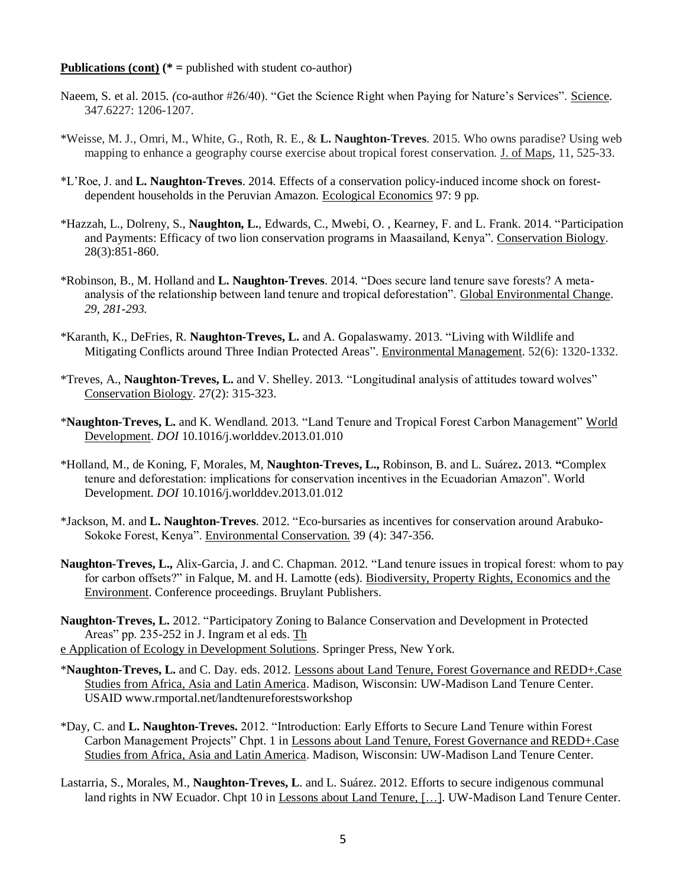- Naeem, S. et al. 2015*. (*co-author #26/40). "Get the Science Right when Paying for Nature's Services". Science. 347.6227: 1206-1207.
- \*Weisse, M. J., Omri, M., White, G., Roth, R. E., & **L. Naughton-Treves**. 2015. Who owns paradise? Using web mapping to enhance a geography course exercise about tropical forest conservation. J. of Maps, 11, 525-33.
- \*L'Roe, J. and **L. Naughton-Treves**. 2014*.* Effects of a conservation policy-induced income shock on forestdependent households in the Peruvian Amazon. Ecological Economics 97: 9 pp.
- \*Hazzah, L., Dolreny, S., **Naughton, L.**, Edwards, C., Mwebi, O. , Kearney, F. and L. Frank. 2014. "Participation and Payments: Efficacy of two lion conservation programs in Maasailand, Kenya"*.* Conservation Biology. 28(3):851-860.
- \*Robinson, B., M. Holland and **L. Naughton-Treves**. 2014*.* "Does secure land tenure save forests? A metaanalysis of the relationship between land tenure and tropical deforestation". Global Environmental Change. *29, 281-293.*
- \*Karanth, K., DeFries, R. **Naughton-Treves, L.** and A. Gopalaswamy. 2013. "Living with Wildlife and Mitigating Conflicts around Three Indian Protected Areas". Environmental Management. 52(6): 1320-1332.
- \*Treves, A., **Naughton-Treves, L.** and V. Shelley. 2013*.* "Longitudinal analysis of attitudes toward wolves" Conservation Biology. 27(2): 315-323.
- \***Naughton-Treves, L.** and K. Wendland. 2013*.* "Land Tenure and Tropical Forest Carbon Management" World Development. *DOI* 10.1016/j.worlddev.2013.01.010
- \*Holland, M., de Koning, F, Morales, M, **Naughton-Treves, L.,** Robinson, B. and L. Suárez**.** 2013*.* **"**Complex tenure and deforestation: implications for conservation incentives in the Ecuadorian Amazon". World Development. *DOI* 10.1016/j.worlddev.2013.01.012
- \*Jackson, M. and **L. Naughton-Treves**. 2012*.* "Eco-bursaries as incentives for conservation around Arabuko-Sokoke Forest, Kenya". Environmental Conservation. 39 (4): 347-356.
- **Naughton-Treves, L.,** Alix-Garcia, J. and C. Chapman. 2012*.* "Land tenure issues in tropical forest: whom to pay for carbon offsets?" in Falque, M. and H. Lamotte (eds). Biodiversity, Property Rights, Economics and the Environment. Conference proceedings. Bruylant Publishers.
- **Naughton-Treves, L.** 2012. "Participatory Zoning to Balance Conservation and Development in Protected Areas" pp. 235-252 in J. Ingram et al eds. Th e Application of Ecology in Development Solutions. Springer Press, New York.
- \***Naughton-Treves, L.** and C. Day. eds. 2012. Lessons about Land Tenure, Forest Governance and REDD+.Case Studies from Africa, Asia and Latin America. Madison, Wisconsin: UW-Madison Land Tenure Center. USAID www.rmportal.net/landtenureforestsworkshop
- \*Day, C. and **L. Naughton-Treves.** 2012. "Introduction: Early Efforts to Secure Land Tenure within Forest Carbon Management Projects" Chpt. 1 in Lessons about Land Tenure, Forest Governance and REDD+.Case Studies from Africa, Asia and Latin America. Madison, Wisconsin: UW-Madison Land Tenure Center.
- Lastarria, S., Morales, M., **Naughton-Treves, L**. and L. Suárez. 2012. Efforts to secure indigenous communal land rights in NW Ecuador. Chpt 10 in Lessons about Land Tenure, […]. UW-Madison Land Tenure Center.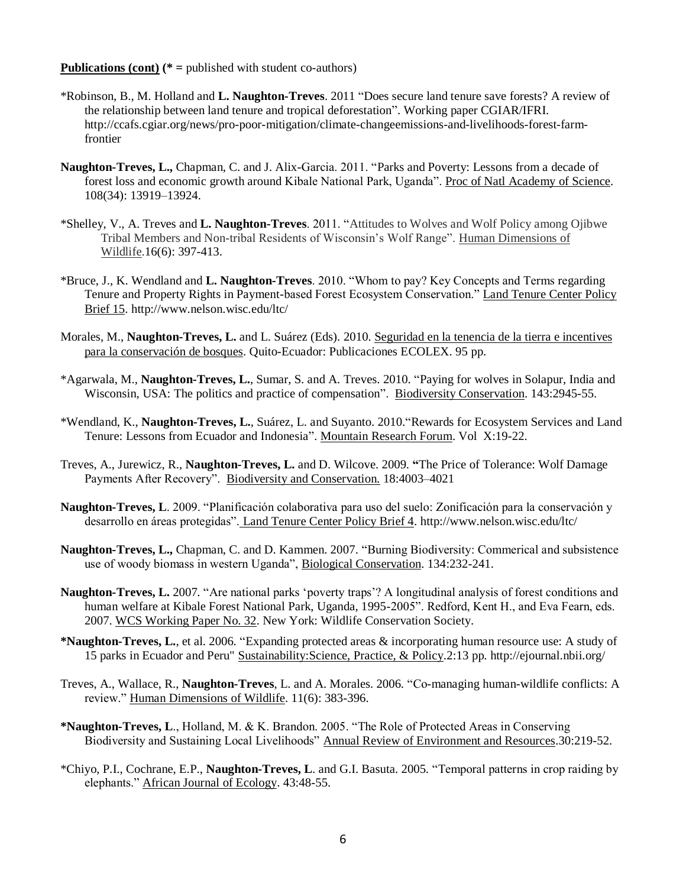- \*Robinson, B., M. Holland and **L. Naughton-Treves**. 2011 "Does secure land tenure save forests? A review of the relationship between land tenure and tropical deforestation". Working paper CGIAR/IFRI. http://ccafs.cgiar.org/news/pro-poor-mitigation/climate-changeemissions-and-livelihoods-forest-farmfrontier
- **Naughton-Treves, L.,** Chapman, C. and J. Alix-Garcia. 2011. "Parks and Poverty: Lessons from a decade of forest loss and economic growth around Kibale National Park, Uganda". Proc of Natl Academy of Science. 108(34): 13919–13924.
- \*Shelley, V., A. Treves and **L. Naughton-Treves**. 2011. "Attitudes to Wolves and Wolf Policy among Ojibwe Tribal Members and Non-tribal Residents of Wisconsin's Wolf Range". Human Dimensions of Wildlife.16(6): 397-413.
- \*Bruce, J., K. Wendland and **L. Naughton-Treves**. 2010. "Whom to pay? Key Concepts and Terms regarding Tenure and Property Rights in Payment-based Forest Ecosystem Conservation." Land Tenure Center Policy Brief 15. http://www.nelson.wisc.edu/ltc/
- Morales, M., **Naughton-Treves, L.** and L. Suárez (Eds). 2010. Seguridad en la tenencia de la tierra e incentives para la conservación de bosques. Quito-Ecuador: Publicaciones ECOLEX. 95 pp.
- \*Agarwala, M., **Naughton-Treves, L.**, Sumar, S. and A. Treves. 2010. "Paying for wolves in Solapur, India and Wisconsin, USA: The politics and practice of compensation". Biodiversity Conservation. 143:2945-55.
- \*Wendland, K., **Naughton-Treves, L.**, Suárez, L. and Suyanto. 2010."Rewards for Ecosystem Services and Land Tenure: Lessons from Ecuador and Indonesia". Mountain Research Forum. Vol X:19-22.
- Treves, A., Jurewicz, R., **Naughton-Treves, L.** and D. Wilcove. 2009*.* **"**The Price of Tolerance: Wolf Damage Payments After Recovery". Biodiversity and Conservation. 18:4003–4021
- **Naughton-Treves, L**. 2009. "Planificación colaborativa para uso del suelo: Zonificación para la conservación y desarrollo en áreas protegidas". Land Tenure Center Policy Brief 4. http://www.nelson.wisc.edu/ltc/
- **Naughton-Treves, L.,** Chapman, C. and D. Kammen. 2007. "Burning Biodiversity: Commerical and subsistence use of woody biomass in western Uganda", Biological Conservation. 134:232-241.
- **Naughton-Treves, L.** 2007*.* "Are national parks 'poverty traps'? A longitudinal analysis of forest conditions and human welfare at Kibale Forest National Park, Uganda, 1995-2005". Redford, Kent H., and Eva Fearn, eds. 2007. WCS Working Paper No. 32. New York: Wildlife Conservation Society.
- **\*Naughton-Treves, L.**, et al. 2006*.* "Expanding protected areas & incorporating human resource use: A study of 15 parks in Ecuador and Peru" Sustainability:Science, Practice, & Policy*.*2:13 pp. http://ejournal.nbii.org/
- Treves, A., Wallace, R., **Naughton-Treves**, L. and A. Morales. 2006*.* "Co-managing human-wildlife conflicts: A review." Human Dimensions of Wildlife. 11(6): 383-396.
- **\*Naughton-Treves, L**., Holland, M. & K. Brandon. 2005. "The Role of Protected Areas in Conserving Biodiversity and Sustaining Local Livelihoods" Annual Review of Environment and Resources.30:219-52.
- \*Chiyo, P.I., Cochrane, E.P., **Naughton-Treves, L**. and G.I. Basuta. 2005*.* "Temporal patterns in crop raiding by elephants." African Journal of Ecology. 43:48-55.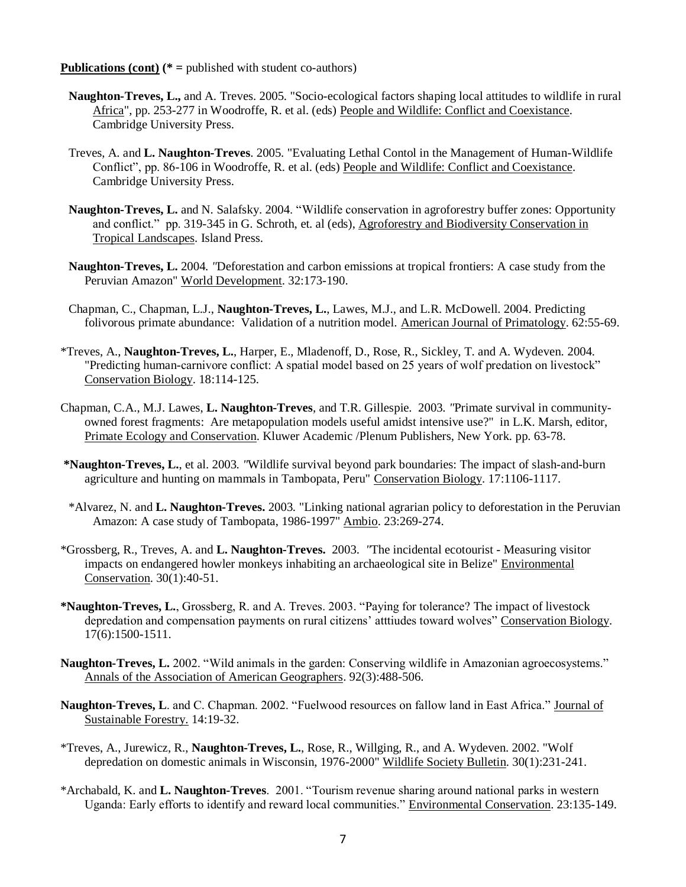- **Naughton-Treves, L.,** and A. Treves. 2005*.* "Socio-ecological factors shaping local attitudes to wildlife in rural Africa", pp. 253-277 in Woodroffe, R. et al. (eds) People and Wildlife: Conflict and Coexistance. Cambridge University Press.
- Treves, A. and **L. Naughton-Treves**. 2005*.* "Evaluating Lethal Contol in the Management of Human-Wildlife Conflict", pp. 86-106 in Woodroffe, R. et al. (eds) People and Wildlife: Conflict and Coexistance. Cambridge University Press.
- **Naughton-Treves, L.** and N. Salafsky. 2004. "Wildlife conservation in agroforestry buffer zones: Opportunity and conflict." pp. 319-345 in G. Schroth, et. al (eds), Agroforestry and Biodiversity Conservation in Tropical Landscapes. Island Press.
- **Naughton-Treves, L.** 2004*. "*Deforestation and carbon emissions at tropical frontiers: A case study from the Peruvian Amazon" World Development. 32:173-190.
- Chapman, C., Chapman, L.J., **Naughton-Treves, L.**, Lawes, M.J., and L.R. McDowell. 2004. Predicting folivorous primate abundance: Validation of a nutrition model. American Journal of Primatology. 62:55-69.
- \*Treves, A., **Naughton-Treves, L.**, Harper, E., Mladenoff, D., Rose, R., Sickley, T. and A. Wydeven. 2004*.*  "Predicting human-carnivore conflict: A spatial model based on 25 years of wolf predation on livestock" Conservation Biology. 18:114-125.
- Chapman, C.A., M.J. Lawes, **L. Naughton-Treves**, and T.R. Gillespie. 2003*. "*Primate survival in communityowned forest fragments: Are metapopulation models useful amidst intensive use?" in L.K. Marsh, editor, Primate Ecology and Conservation. Kluwer Academic /Plenum Publishers, New York. pp. 63-78.
- **\*Naughton-Treves, L.**, et al. 2003*. "*Wildlife survival beyond park boundaries: The impact of slash-and-burn agriculture and hunting on mammals in Tambopata, Peru" Conservation Biology. 17:1106-1117.
- \*Alvarez, N. and **L. Naughton-Treves.** 2003*.* "Linking national agrarian policy to deforestation in the Peruvian Amazon: A case study of Tambopata, 1986-1997" Ambio. 23:269-274.
- \*Grossberg, R., Treves, A. and **L. Naughton-Treves.** 2003. *"*The incidental ecotourist Measuring visitor impacts on endangered howler monkeys inhabiting an archaeological site in Belize" Environmental Conservation. 30(1):40-51.
- **\*Naughton-Treves, L.**, Grossberg, R. and A. Treves. 2003. "Paying for tolerance? The impact of livestock depredation and compensation payments on rural citizens' atttiudes toward wolves" Conservation Biology. 17(6):1500-1511.
- **Naughton-Treves, L.** 2002. "Wild animals in the garden: Conserving wildlife in Amazonian agroecosystems." Annals of the Association of American Geographers. 92(3):488-506.
- **Naughton-Treves, L**. and C. Chapman. 2002. "Fuelwood resources on fallow land in East Africa." Journal of Sustainable Forestry. 14:19-32.
- \*Treves, A., Jurewicz, R., **Naughton-Treves, L.**, Rose, R., Willging, R., and A. Wydeven. 2002. "Wolf depredation on domestic animals in Wisconsin, 1976-2000" Wildlife Society Bulletin. 30(1):231-241.
- \*Archabald, K. and **L. Naughton-Treves**. 2001. "Tourism revenue sharing around national parks in western Uganda: Early efforts to identify and reward local communities." Environmental Conservation. 23:135-149.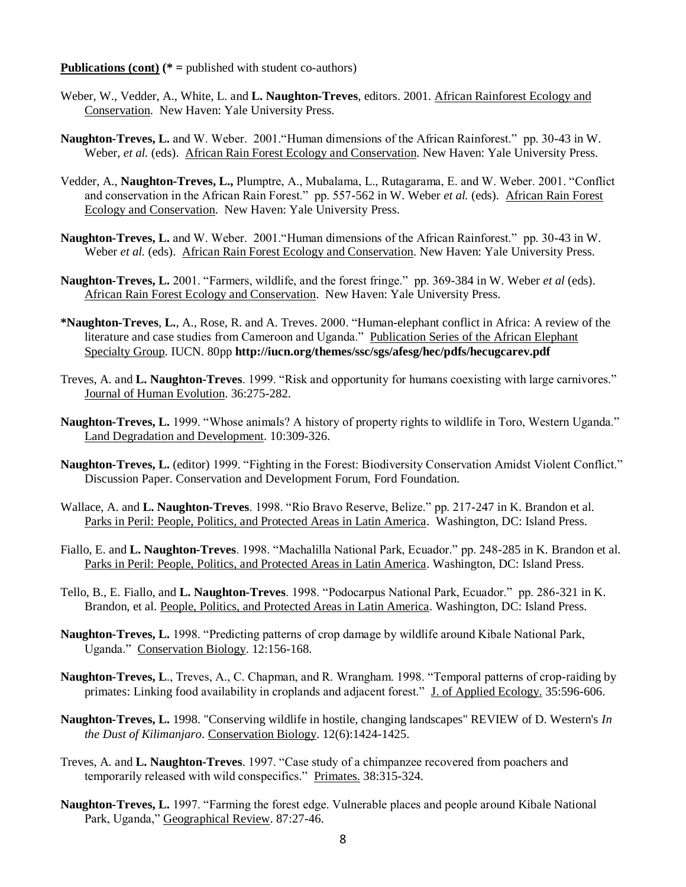- Weber, W., Vedder, A., White, L. and **L. Naughton-Treves**, editors. 2001. African Rainforest Ecology and Conservation. New Haven: Yale University Press.
- **Naughton-Treves, L.** and W. Weber. 2001."Human dimensions of the African Rainforest." pp. 30-43 in W. Weber, *et al.* (eds). African Rain Forest Ecology and Conservation. New Haven: Yale University Press.
- Vedder, A., **Naughton-Treves, L.,** Plumptre, A., Mubalama, L., Rutagarama, E. and W. Weber. 2001. "Conflict and conservation in the African Rain Forest." pp. 557-562 in W. Weber *et al.* (eds). African Rain Forest Ecology and Conservation. New Haven: Yale University Press.
- **Naughton-Treves, L.** and W. Weber. 2001."Human dimensions of the African Rainforest." pp. 30-43 in W. Weber *et al.* (eds). African Rain Forest Ecology and Conservation. New Haven: Yale University Press.
- **Naughton-Treves, L.** 2001. "Farmers, wildlife, and the forest fringe." pp. 369-384 in W. Weber *et al* (eds). African Rain Forest Ecology and Conservation. New Haven: Yale University Press.
- **\*Naughton-Treves**, **L.**, A., Rose, R. and A. Treves. 2000. "Human-elephant conflict in Africa: A review of the literature and case studies from Cameroon and Uganda." Publication Series of the African Elephant Specialty Group. IUCN. 80pp **<http://iucn.org/themes/ssc/sgs/afesg/hec/pdfs/hecugcarev.pdf>**
- Treves, A. and **L. Naughton-Treves**. 1999. "Risk and opportunity for humans coexisting with large carnivores." Journal of Human Evolution. 36:275-282.
- **Naughton-Treves, L.** 1999. "Whose animals? A history of property rights to wildlife in Toro, Western Uganda." Land Degradation and Development. 10:309-326.
- **Naughton-Treves, L.** (editor) 1999. "Fighting in the Forest: Biodiversity Conservation Amidst Violent Conflict." Discussion Paper. Conservation and Development Forum, Ford Foundation.
- Wallace, A. and **L. Naughton-Treves**. 1998. "Rio Bravo Reserve, Belize." pp. 217-247 in K. Brandon et al. Parks in Peril: People, Politics, and Protected Areas in Latin America. Washington, DC: Island Press.
- Fiallo, E. and **L. Naughton-Treves**. 1998. "Machalilla National Park, Ecuador." pp. 248-285 in K. Brandon et al. Parks in Peril: People, Politics, and Protected Areas in Latin America. Washington, DC: Island Press.
- Tello, B., E. Fiallo, and **L. Naughton-Treves**. 1998. "Podocarpus National Park, Ecuador." pp. 286-321 in K. Brandon, et al. People, Politics, and Protected Areas in Latin America. Washington, DC: Island Press.
- **Naughton-Treves, L.** 1998. "Predicting patterns of crop damage by wildlife around Kibale National Park, Uganda." Conservation Biology. 12:156-168.
- **Naughton-Treves, L**., Treves, A., C. Chapman, and R. Wrangham. 1998. "Temporal patterns of crop-raiding by primates: Linking food availability in croplands and adjacent forest." J. of Applied Ecology. 35:596-606.
- **Naughton-Treves, L.** 1998. "Conserving wildlife in hostile, changing landscapes" REVIEW of D. Western's *In the Dust of Kilimanjaro*. Conservation Biology. 12(6):1424-1425.
- Treves, A. and **L. Naughton-Treves**. 1997. "Case study of a chimpanzee recovered from poachers and temporarily released with wild conspecifics." Primates. 38:315-324.
- **Naughton-Treves, L.** 1997. "Farming the forest edge. Vulnerable places and people around Kibale National Park, Uganda," Geographical Review. 87:27-46.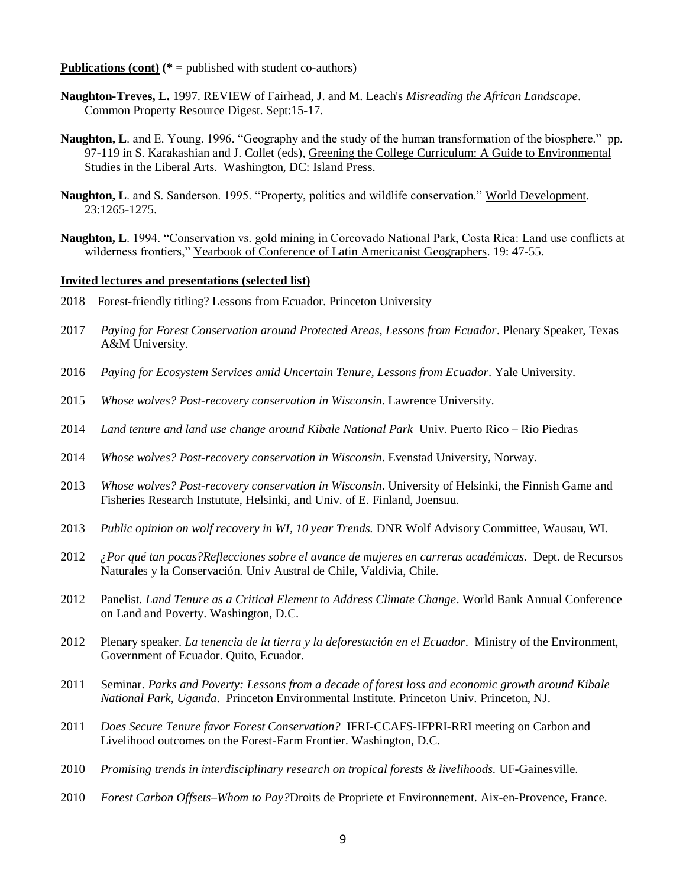- **Naughton-Treves, L.** 1997. REVIEW of Fairhead, J. and M. Leach's *Misreading the African Landscape*. Common Property Resource Digest. Sept:15-17.
- **Naughton, L**. and E. Young. 1996. "Geography and the study of the human transformation of the biosphere." pp. 97-119 in S. Karakashian and J. Collet (eds), Greening the College Curriculum: A Guide to Environmental Studies in the Liberal Arts. Washington, DC: Island Press.
- **Naughton, L**. and S. Sanderson. 1995. "Property, politics and wildlife conservation." World Development. 23:1265-1275.
- **Naughton, L**. 1994. "Conservation vs. gold mining in Corcovado National Park, Costa Rica: Land use conflicts at wilderness frontiers," Yearbook of Conference of Latin Americanist Geographers. 19: 47-55.

#### **Invited lectures and presentations (selected list)**

- 2018 Forest-friendly titling? Lessons from Ecuador. Princeton University
- 2017 *Paying for Forest Conservation around Protected Areas, Lessons from Ecuador*. Plenary Speaker, Texas A&M University.
- 2016 *Paying for Ecosystem Services amid Uncertain Tenure, Lessons from Ecuador*. Yale University.
- 2015 *Whose wolves? Post-recovery conservation in Wisconsin*. Lawrence University.
- 2014 *Land tenure and land use change around Kibale National Park* Univ. Puerto Rico Rio Piedras
- 2014 *Whose wolves? Post-recovery conservation in Wisconsin*. Evenstad University, Norway.
- 2013 *Whose wolves? Post-recovery conservation in Wisconsin*. University of Helsinki, the Finnish Game and Fisheries Research Instutute, Helsinki, and Univ. of E. Finland, Joensuu.
- 2013 *Public opinion on wolf recovery in WI, 10 year Trends.* DNR Wolf Advisory Committee, Wausau, WI.
- 2012 *¿Por qué tan pocas?Reflecciones sobre el avance de mujeres en carreras académicas.* Dept. de Recursos Naturales y la Conservación. Univ Austral de Chile, Valdivia, Chile.
- 2012 Panelist. *Land Tenure as a Critical Element to Address Climate Change*. World Bank Annual Conference on Land and Poverty. Washington, D.C.
- 2012 Plenary speaker. *La tenencia de la tierra y la deforestación en el Ecuador*. Ministry of the Environment, Government of Ecuador. Quito, Ecuador.
- 2011 Seminar. *Parks and Poverty: Lessons from a decade of forest loss and economic growth around Kibale National Park, Uganda*. Princeton Environmental Institute. Princeton Univ. Princeton, NJ.
- 2011 *Does Secure Tenure favor Forest Conservation?* IFRI-CCAFS-IFPRI-RRI meeting on Carbon and Livelihood outcomes on the Forest-Farm Frontier. Washington, D.C.
- 2010 *Promising trends in interdisciplinary research on tropical forests & livelihoods.* UF-Gainesville.
- 2010 *Forest Carbon Offsets–Whom to Pay?*Droits de Propriete et Environnement. Aix-en-Provence, France.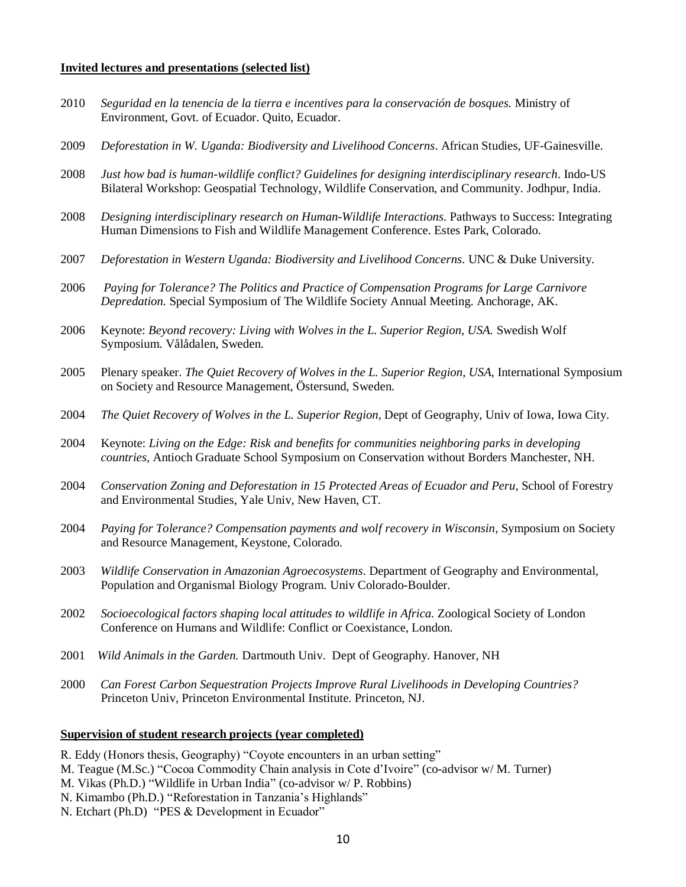#### **Invited lectures and presentations (selected list)**

- 2010 *Seguridad en la tenencia de la tierra e incentives para la conservación de bosques.* Ministry of Environment, Govt. of Ecuador. Quito, Ecuador.
- 2009 *Deforestation in W. Uganda: Biodiversity and Livelihood Concerns*. African Studies, UF-Gainesville.
- 2008 *Just how bad is human-wildlife conflict? Guidelines for designing interdisciplinary research*. Indo-US Bilateral Workshop: Geospatial Technology, Wildlife Conservation, and Community. Jodhpur, India.
- 2008 *Designing interdisciplinary research on Human-Wildlife Interactions.* Pathways to Success: Integrating Human Dimensions to Fish and Wildlife Management Conference. Estes Park, Colorado.
- 2007 *Deforestation in Western Uganda: Biodiversity and Livelihood Concerns.* UNC & Duke University.
- 2006 *Paying for Tolerance? The Politics and Practice of Compensation Programs for Large Carnivore Depredation.* Special Symposium of The Wildlife Society Annual Meeting. Anchorage, AK.
- 2006 Keynote: *Beyond recovery: Living with Wolves in the L. Superior Region, USA.* Swedish Wolf Symposium. Vålådalen, Sweden.
- 2005 Plenary speaker. *The Quiet Recovery of Wolves in the L. Superior Region, USA,* International Symposium on Society and Resource Management, Östersund, Sweden.
- 2004 *The Quiet Recovery of Wolves in the L. Superior Region,* Dept of Geography, Univ of Iowa, Iowa City.
- 2004 Keynote: *Living on the Edge: Risk and benefits for communities neighboring parks in developing countries,* Antioch Graduate School Symposium on Conservation without Borders Manchester, NH.
- 2004 *Conservation Zoning and Deforestation in 15 Protected Areas of Ecuador and Peru,* School of Forestry and Environmental Studies, Yale Univ, New Haven, CT.
- 2004 *Paying for Tolerance? Compensation payments and wolf recovery in Wisconsin*, Symposium on Society and Resource Management, Keystone, Colorado.
- 2003 *Wildlife Conservation in Amazonian Agroecosystems*. Department of Geography and Environmental, Population and Organismal Biology Program. Univ Colorado-Boulder.
- 2002 *Socioecological factors shaping local attitudes to wildlife in Africa.* Zoological Society of London Conference on Humans and Wildlife: Conflict or Coexistance, London.
- 2001 *Wild Animals in the Garden.* Dartmouth Univ. Dept of Geography. Hanover, NH
- 2000 *Can Forest Carbon Sequestration Projects Improve Rural Livelihoods in Developing Countries?* Princeton Univ, Princeton Environmental Institute. Princeton, NJ.

#### **Supervision of student research projects (year completed)**

- R. Eddy (Honors thesis, Geography) "Coyote encounters in an urban setting"
- M. Teague (M.Sc.) "Cocoa Commodity Chain analysis in Cote d'Ivoire" (co-advisor w/ M. Turner)
- M. Vikas (Ph.D.) "Wildlife in Urban India" (co-advisor w/ P. Robbins)
- N. Kimambo (Ph.D.) "Reforestation in Tanzania's Highlands"
- N. Etchart (Ph.D) "PES & Development in Ecuador"